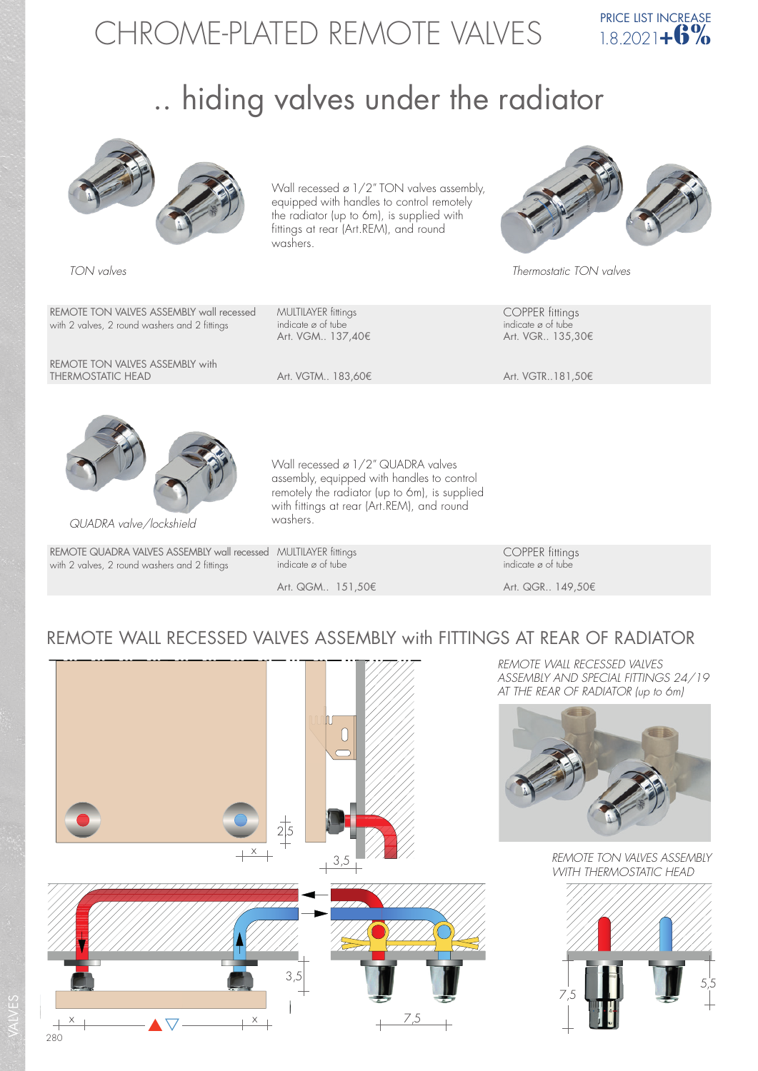# CHROME-PLATED REMOTE VALVES



## .. hiding valves under the radiator



REMOTE TON VALVES ASSEMBLY wall recessed MULTILAYER fittings<br>
with 2 valves, 2 round washers and 2 fittings indicate ø of tube<br>
indicate ø of tube with 2 valves, 2 round washers and 2 fittings indicate ø of tube indicate ø of tube indicate ø of tube indicate ø of tube indicate ø of tube indicate  $\alpha$  of tube indicate  $\alpha$  of tube indicate  $\alpha$  of tube in the set of

REMOTE TON VALVES ASSEMBLY with<br>THERMOSTATIC HEAD

Art. VGM.. 137,40€

equipped with handles to control remotely the radiator (up to 6m), is supplied with fittings at rear (Art.REM), and round washers.

Wall recessed ø 1/2" TON valves assembly,



TON valves Thermostatic TON valves

Art. VGTM.. 183,60€ Art. VGTR..181,50€



QUADRA valve/lockshield

VALVES

REMOTE QUADRA VALVES ASSEMBLY wall recessed MULTILAYER fittings<br>
with 2 valves, 2 round washers and 2 fittings indicate  $\varnothing$  of tube<br>
indicate  $\varnothing$  of tube with 2 valves, 2 round washers and 2 fittings

washers.

Art. QGM.. 151,50€ Art. QGR.. 149,50€

### REMOTE WALL RECESSED VALVES ASSEMBLY with FITTINGS AT REAR OF RADIATOR

Wall recessed ø 1/2" QUADRA valves assembly, equipped with handles to control remotely the radiator (up to 6m), is supplied with fittings at rear (Art.REM), and round